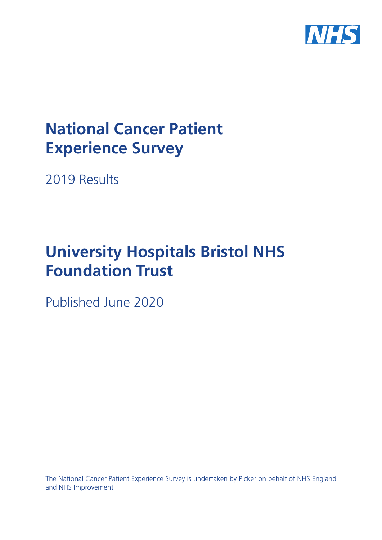

# **National Cancer Patient Experience Survey**

2019 Results

# **University Hospitals Bristol NHS Foundation Trust**

Published June 2020

The National Cancer Patient Experience Survey is undertaken by Picker on behalf of NHS England and NHS Improvement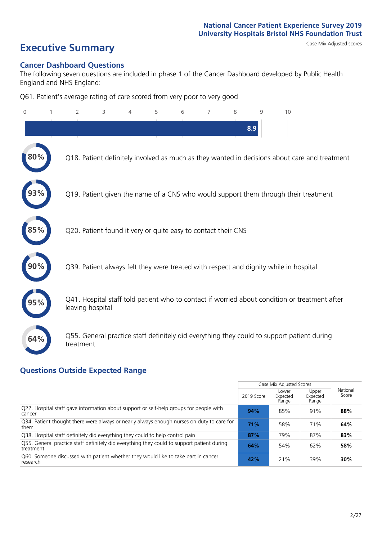## **Executive Summary** Case Mix Adjusted scores

### **Cancer Dashboard Questions**

The following seven questions are included in phase 1 of the Cancer Dashboard developed by Public Health England and NHS England:

Q61. Patient's average rating of care scored from very poor to very good

| $\Omega$ | 2                | 3                                                             | 4 | 5 | 6 | 8 | 9   | 10                                                                                            |
|----------|------------------|---------------------------------------------------------------|---|---|---|---|-----|-----------------------------------------------------------------------------------------------|
|          |                  |                                                               |   |   |   |   | 8.9 |                                                                                               |
| $80\%$   |                  |                                                               |   |   |   |   |     | Q18. Patient definitely involved as much as they wanted in decisions about care and treatment |
|          |                  |                                                               |   |   |   |   |     | Q19. Patient given the name of a CNS who would support them through their treatment           |
|          |                  | Q20. Patient found it very or quite easy to contact their CNS |   |   |   |   |     |                                                                                               |
|          |                  |                                                               |   |   |   |   |     | Q39. Patient always felt they were treated with respect and dignity while in hospital         |
|          | leaving hospital |                                                               |   |   |   |   |     | Q41. Hospital staff told patient who to contact if worried about condition or treatment after |
| 64%      | treatment        |                                                               |   |   |   |   |     | Q55. General practice staff definitely did everything they could to support patient during    |

### **Questions Outside Expected Range**

|                                                                                                         |            | Case Mix Adjusted Scores   |                            |                   |
|---------------------------------------------------------------------------------------------------------|------------|----------------------------|----------------------------|-------------------|
|                                                                                                         | 2019 Score | Lower<br>Expected<br>Range | Upper<br>Expected<br>Range | National<br>Score |
| Q22. Hospital staff gave information about support or self-help groups for people with<br>cancer        | 94%        | 85%                        | 91%                        | 88%               |
| Q34. Patient thought there were always or nearly always enough nurses on duty to care for<br>them       | 71%        | 58%                        | 71%                        | 64%               |
| Q38. Hospital staff definitely did everything they could to help control pain                           | 87%        | 79%                        | 87%                        | 83%               |
| Q55. General practice staff definitely did everything they could to support patient during<br>treatment | 64%        | 54%                        | 62%                        | 58%               |
| Q60. Someone discussed with patient whether they would like to take part in cancer<br>research          | 42%        | 21%                        | 39%                        | 30%               |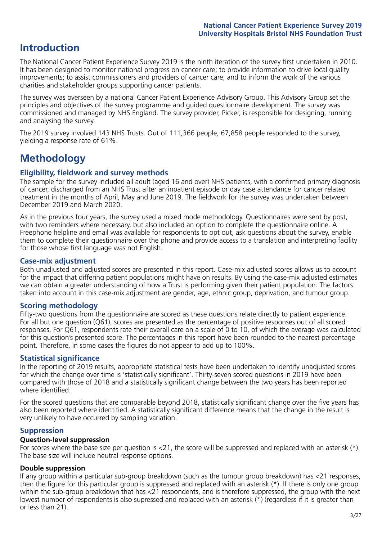## **Introduction**

The National Cancer Patient Experience Survey 2019 is the ninth iteration of the survey first undertaken in 2010. It has been designed to monitor national progress on cancer care; to provide information to drive local quality improvements; to assist commissioners and providers of cancer care; and to inform the work of the various charities and stakeholder groups supporting cancer patients.

The survey was overseen by a national Cancer Patient Experience Advisory Group. This Advisory Group set the principles and objectives of the survey programme and guided questionnaire development. The survey was commissioned and managed by NHS England. The survey provider, Picker, is responsible for designing, running and analysing the survey.

The 2019 survey involved 143 NHS Trusts. Out of 111,366 people, 67,858 people responded to the survey, yielding a response rate of 61%.

## **Methodology**

### **Eligibility, eldwork and survey methods**

The sample for the survey included all adult (aged 16 and over) NHS patients, with a confirmed primary diagnosis of cancer, discharged from an NHS Trust after an inpatient episode or day case attendance for cancer related treatment in the months of April, May and June 2019. The fieldwork for the survey was undertaken between December 2019 and March 2020.

As in the previous four years, the survey used a mixed mode methodology. Questionnaires were sent by post, with two reminders where necessary, but also included an option to complete the questionnaire online. A Freephone helpline and email was available for respondents to opt out, ask questions about the survey, enable them to complete their questionnaire over the phone and provide access to a translation and interpreting facility for those whose first language was not English.

### **Case-mix adjustment**

Both unadjusted and adjusted scores are presented in this report. Case-mix adjusted scores allows us to account for the impact that differing patient populations might have on results. By using the case-mix adjusted estimates we can obtain a greater understanding of how a Trust is performing given their patient population. The factors taken into account in this case-mix adjustment are gender, age, ethnic group, deprivation, and tumour group.

### **Scoring methodology**

Fifty-two questions from the questionnaire are scored as these questions relate directly to patient experience. For all but one question (Q61), scores are presented as the percentage of positive responses out of all scored responses. For Q61, respondents rate their overall care on a scale of 0 to 10, of which the average was calculated for this question's presented score. The percentages in this report have been rounded to the nearest percentage point. Therefore, in some cases the figures do not appear to add up to 100%.

### **Statistical significance**

In the reporting of 2019 results, appropriate statistical tests have been undertaken to identify unadjusted scores for which the change over time is 'statistically significant'. Thirty-seven scored questions in 2019 have been compared with those of 2018 and a statistically significant change between the two years has been reported where identified.

For the scored questions that are comparable beyond 2018, statistically significant change over the five years has also been reported where identified. A statistically significant difference means that the change in the result is very unlikely to have occurred by sampling variation.

### **Suppression**

### **Question-level suppression**

For scores where the base size per question is  $<$ 21, the score will be suppressed and replaced with an asterisk (\*). The base size will include neutral response options.

### **Double suppression**

If any group within a particular sub-group breakdown (such as the tumour group breakdown) has <21 responses, then the figure for this particular group is suppressed and replaced with an asterisk (\*). If there is only one group within the sub-group breakdown that has <21 respondents, and is therefore suppressed, the group with the next lowest number of respondents is also supressed and replaced with an asterisk (\*) (regardless if it is greater than or less than 21).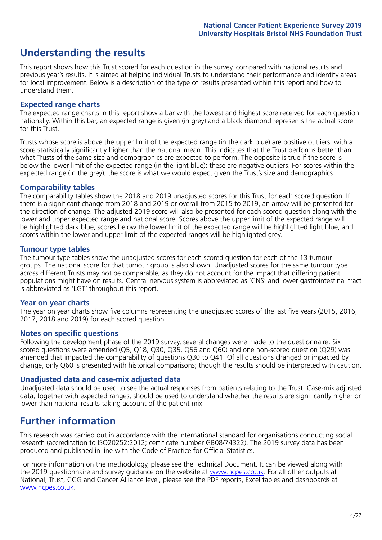## **Understanding the results**

This report shows how this Trust scored for each question in the survey, compared with national results and previous year's results. It is aimed at helping individual Trusts to understand their performance and identify areas for local improvement. Below is a description of the type of results presented within this report and how to understand them.

### **Expected range charts**

The expected range charts in this report show a bar with the lowest and highest score received for each question nationally. Within this bar, an expected range is given (in grey) and a black diamond represents the actual score for this Trust.

Trusts whose score is above the upper limit of the expected range (in the dark blue) are positive outliers, with a score statistically significantly higher than the national mean. This indicates that the Trust performs better than what Trusts of the same size and demographics are expected to perform. The opposite is true if the score is below the lower limit of the expected range (in the light blue); these are negative outliers. For scores within the expected range (in the grey), the score is what we would expect given the Trust's size and demographics.

### **Comparability tables**

The comparability tables show the 2018 and 2019 unadjusted scores for this Trust for each scored question. If there is a significant change from 2018 and 2019 or overall from 2015 to 2019, an arrow will be presented for the direction of change. The adjusted 2019 score will also be presented for each scored question along with the lower and upper expected range and national score. Scores above the upper limit of the expected range will be highlighted dark blue, scores below the lower limit of the expected range will be highlighted light blue, and scores within the lower and upper limit of the expected ranges will be highlighted grey.

### **Tumour type tables**

The tumour type tables show the unadjusted scores for each scored question for each of the 13 tumour groups. The national score for that tumour group is also shown. Unadjusted scores for the same tumour type across different Trusts may not be comparable, as they do not account for the impact that differing patient populations might have on results. Central nervous system is abbreviated as 'CNS' and lower gastrointestinal tract is abbreviated as 'LGT' throughout this report.

### **Year on year charts**

The year on year charts show five columns representing the unadjusted scores of the last five years (2015, 2016, 2017, 2018 and 2019) for each scored question.

#### **Notes on specific questions**

Following the development phase of the 2019 survey, several changes were made to the questionnaire. Six scored questions were amended (Q5, Q18, Q30, Q35, Q56 and Q60) and one non-scored question (Q29) was amended that impacted the comparability of questions Q30 to Q41. Of all questions changed or impacted by change, only Q60 is presented with historical comparisons; though the results should be interpreted with caution.

### **Unadjusted data and case-mix adjusted data**

Unadjusted data should be used to see the actual responses from patients relating to the Trust. Case-mix adjusted data, together with expected ranges, should be used to understand whether the results are significantly higher or lower than national results taking account of the patient mix.

## **Further information**

This research was carried out in accordance with the international standard for organisations conducting social research (accreditation to ISO20252:2012; certificate number GB08/74322). The 2019 survey data has been produced and published in line with the Code of Practice for Official Statistics.

For more information on the methodology, please see the Technical Document. It can be viewed along with the 2019 questionnaire and survey quidance on the website at [www.ncpes.co.uk](https://www.ncpes.co.uk/supporting-documents). For all other outputs at National, Trust, CCG and Cancer Alliance level, please see the PDF reports, Excel tables and dashboards at [www.ncpes.co.uk.](https://www.ncpes.co.uk/current-results)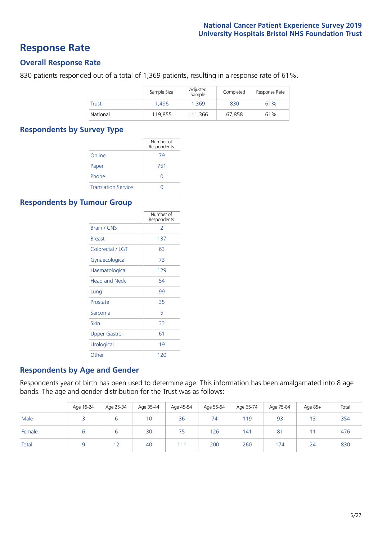## **Response Rate**

### **Overall Response Rate**

830 patients responded out of a total of 1,369 patients, resulting in a response rate of 61%.

|          | Sample Size | Adjusted<br>Sample | Completed | Response Rate |
|----------|-------------|--------------------|-----------|---------------|
| Trust    | 1.496       | 1.369              | 830       | 61%           |
| National | 119.855     | 111.366            | 67.858    | 61%           |

### **Respondents by Survey Type**

|                            | Number of<br>Respondents |
|----------------------------|--------------------------|
| Online                     | 79                       |
| Paper                      | 751                      |
| Phone                      |                          |
| <b>Translation Service</b> |                          |

### **Respondents by Tumour Group**

|                      | Number of<br>Respondents |
|----------------------|--------------------------|
| Brain / CNS          | $\mathcal{P}$            |
| <b>Breast</b>        | 137                      |
| Colorectal / LGT     | 63                       |
| Gynaecological       | 73                       |
| Haematological       | 129                      |
| <b>Head and Neck</b> | 54                       |
| Lung                 | 99                       |
| Prostate             | 35                       |
| Sarcoma              | 5                        |
| Skin                 | 33                       |
| <b>Upper Gastro</b>  | 61                       |
| Urological           | 19                       |
| Other                | 120                      |

### **Respondents by Age and Gender**

Respondents year of birth has been used to determine age. This information has been amalgamated into 8 age bands. The age and gender distribution for the Trust was as follows:

|        | Age 16-24 | Age 25-34 | Age 35-44 | Age 45-54 | Age 55-64 | Age 65-74 | Age 75-84 | Age 85+ | Total |
|--------|-----------|-----------|-----------|-----------|-----------|-----------|-----------|---------|-------|
| Male   |           |           | 10        | 36        | 74        | 119       | 93        | 13      | 354   |
| Female |           |           | 30        | 75        | 126       | 141       | 81        |         | 476   |
| Total  |           |           | 40        | (1)       | 200       | 260       | 174       | 24      | 830   |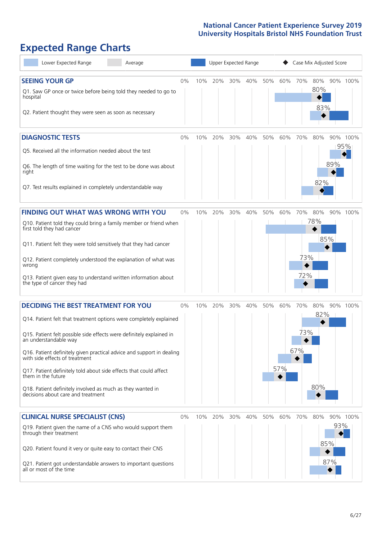## **Expected Range Charts**

| Lower Expected Range<br>Average                                                                                                                                                                                                                                                                                                                                                                                                                                                                                             |    |     | <b>Upper Expected Range</b> |     |     |     |            |                   |                      | Case Mix Adjusted Score |                 |
|-----------------------------------------------------------------------------------------------------------------------------------------------------------------------------------------------------------------------------------------------------------------------------------------------------------------------------------------------------------------------------------------------------------------------------------------------------------------------------------------------------------------------------|----|-----|-----------------------------|-----|-----|-----|------------|-------------------|----------------------|-------------------------|-----------------|
| <b>SEEING YOUR GP</b><br>Q1. Saw GP once or twice before being told they needed to go to<br>hospital<br>Q2. Patient thought they were seen as soon as necessary                                                                                                                                                                                                                                                                                                                                                             | 0% | 10% | 20%                         | 30% | 40% | 50% | 60%        | 70%               | 80%<br>80%<br>83%    |                         | 90% 100%        |
| <b>DIAGNOSTIC TESTS</b><br>Q5. Received all the information needed about the test<br>Q6. The length of time waiting for the test to be done was about<br>right<br>Q7. Test results explained in completely understandable way                                                                                                                                                                                                                                                                                               | 0% | 10% | 20%                         | 30% | 40% | 50% | 60%        | 70%               | 80%<br>82%           | 89%                     | 90% 100%<br>95% |
| <b>FINDING OUT WHAT WAS WRONG WITH YOU</b><br>Q10. Patient told they could bring a family member or friend when<br>first told they had cancer<br>Q11. Patient felt they were told sensitively that they had cancer<br>Q12. Patient completely understood the explanation of what was<br>wrong<br>Q13. Patient given easy to understand written information about<br>the type of cancer they had                                                                                                                             | 0% | 10% | 20%                         | 30% | 40% | 50% | 60%        | 70%<br>73%<br>72% | 80%<br>78%           | 85%                     | 90% 100%        |
| <b>DECIDING THE BEST TREATMENT FOR YOU</b><br>Q14. Patient felt that treatment options were completely explained<br>Q15. Patient felt possible side effects were definitely explained in<br>an understandable way<br>Q16. Patient definitely given practical advice and support in dealing<br>with side effects of treatment<br>Q17. Patient definitely told about side effects that could affect<br>them in the future<br>Q18. Patient definitely involved as much as they wanted in<br>decisions about care and treatment | 0% | 10% | 20%                         | 30% | 40% | 50% | 60%<br>57% | 70%<br>73%<br>67% | 80%<br>$82\%$<br>80% |                         | 90% 100%        |
| <b>CLINICAL NURSE SPECIALIST (CNS)</b><br>Q19. Patient given the name of a CNS who would support them<br>through their treatment<br>Q20. Patient found it very or quite easy to contact their CNS<br>Q21. Patient got understandable answers to important questions<br>all or most of the time                                                                                                                                                                                                                              | 0% | 10% | 20%                         | 30% | 40% | 50% | 60%        | 70%               | 80%                  | 93%<br>85%<br>87%       | 90% 100%        |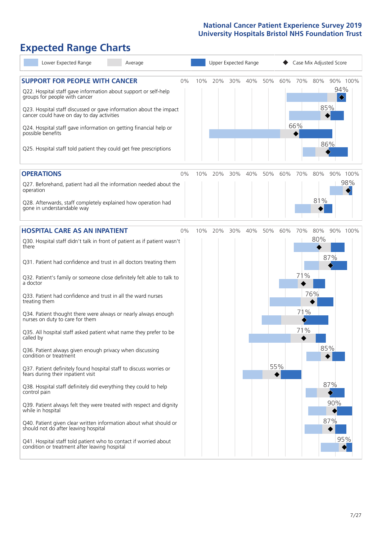## **Expected Range Charts**

| Lower Expected Range<br>Average                                                                                                                   |     |     | Upper Expected Range |     |     |     |     |     | Case Mix Adjusted Score |     |
|---------------------------------------------------------------------------------------------------------------------------------------------------|-----|-----|----------------------|-----|-----|-----|-----|-----|-------------------------|-----|
| <b>SUPPORT FOR PEOPLE WITH CANCER</b><br>0%<br>Q22. Hospital staff gave information about support or self-help                                    | 10% | 20% | 30%                  | 40% | 50% | 60% | 70% | 80% | 90% 100%<br>94%         |     |
| groups for people with cancer<br>Q23. Hospital staff discussed or gave information about the impact<br>cancer could have on day to day activities |     |     |                      |     |     |     |     |     | ♦<br>85%                |     |
| Q24. Hospital staff gave information on getting financial help or<br>possible benefits                                                            |     |     |                      |     |     |     | 66% |     |                         |     |
| Q25. Hospital staff told patient they could get free prescriptions                                                                                |     |     |                      |     |     |     |     |     | 86%                     |     |
| <b>OPERATIONS</b><br>0%                                                                                                                           | 10% | 20% | 30%                  | 40% | 50% | 60% | 70% | 80% | 90% 100%                |     |
| Q27. Beforehand, patient had all the information needed about the<br>operation                                                                    |     |     |                      |     |     |     |     |     |                         | 98% |
| Q28. Afterwards, staff completely explained how operation had<br>gone in understandable way                                                       |     |     |                      |     |     |     |     | 81% |                         |     |
| <b>HOSPITAL CARE AS AN INPATIENT</b><br>0%                                                                                                        | 10% | 20% | 30%                  | 40% | 50% | 60% | 70% | 80% | 90% 100%                |     |
| Q30. Hospital staff didn't talk in front of patient as if patient wasn't<br>there                                                                 |     |     |                      |     |     |     |     | 80% |                         |     |
| Q31. Patient had confidence and trust in all doctors treating them                                                                                |     |     |                      |     |     |     |     |     | 87%                     |     |
| Q32. Patient's family or someone close definitely felt able to talk to<br>a doctor                                                                |     |     |                      |     |     |     | 71% |     |                         |     |
| Q33. Patient had confidence and trust in all the ward nurses<br>treating them                                                                     |     |     |                      |     |     |     |     | 76% |                         |     |
| Q34. Patient thought there were always or nearly always enough<br>nurses on duty to care for them                                                 |     |     |                      |     |     |     | 71% |     |                         |     |
| Q35. All hospital staff asked patient what name they prefer to be<br>called by                                                                    |     |     |                      |     |     |     | 71% |     |                         |     |
| Q36. Patient always given enough privacy when discussing<br>condition or treatment                                                                |     |     |                      |     |     |     |     |     | 85%                     |     |
| Q37. Patient definitely found hospital staff to discuss worries or<br>fears during their inpatient visit                                          |     |     |                      |     |     | 55% |     |     |                         |     |
| Q38. Hospital staff definitely did everything they could to help<br>control pain                                                                  |     |     |                      |     |     |     |     |     | 87%                     |     |
| Q39. Patient always felt they were treated with respect and dignity<br>while in hospital                                                          |     |     |                      |     |     |     |     |     | 90%                     |     |
| Q40. Patient given clear written information about what should or<br>should not do after leaving hospital                                         |     |     |                      |     |     |     |     |     | 87%                     |     |
| Q41. Hospital staff told patient who to contact if worried about<br>condition or treatment after leaving hospital                                 |     |     |                      |     |     |     |     |     | 95%                     |     |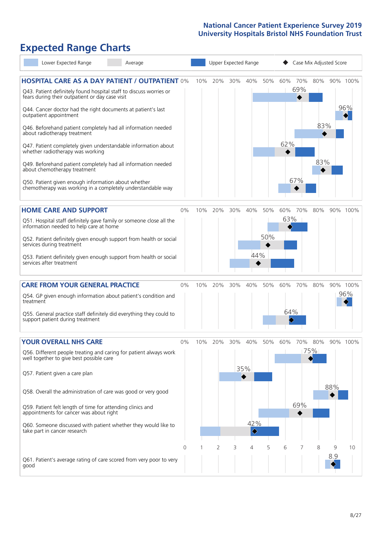## **Expected Range Charts**

| Lower Expected Range<br>Average                                                                                                                                                                                                                |                |     |                |     | Upper Expected Range               |     |          |            |     | Case Mix Adjusted Score |                 |
|------------------------------------------------------------------------------------------------------------------------------------------------------------------------------------------------------------------------------------------------|----------------|-----|----------------|-----|------------------------------------|-----|----------|------------|-----|-------------------------|-----------------|
| <b>HOSPITAL CARE AS A DAY PATIENT / OUTPATIENT 0%</b><br>Q43. Patient definitely found hospital staff to discuss worries or<br>fears during their outpatient or day case visit<br>Q44. Cancer doctor had the right documents at patient's last |                | 10% | 20%            | 30% | 40%                                | 50% | 60%      | 70%<br>69% | 80% |                         | 90% 100%<br>96% |
| outpatient appointment<br>Q46. Beforehand patient completely had all information needed<br>about radiotherapy treatment<br>Q47. Patient completely given understandable information about<br>whether radiotherapy was working                  |                |     |                |     |                                    |     | 62%      |            | 83% |                         |                 |
| Q49. Beforehand patient completely had all information needed<br>about chemotherapy treatment<br>Q50. Patient given enough information about whether<br>chemotherapy was working in a completely understandable way                            |                |     |                |     |                                    |     |          | 67%        | 83% |                         |                 |
| <b>HOME CARE AND SUPPORT</b>                                                                                                                                                                                                                   | 0%             | 10% | 20%            | 30% | 40%                                | 50% | 60%      | 70%        | 80% |                         | 90% 100%        |
| Q51. Hospital staff definitely gave family or someone close all the<br>information needed to help care at home                                                                                                                                 |                |     |                |     |                                    |     | 63%      |            |     |                         |                 |
| Q52. Patient definitely given enough support from health or social<br>services during treatment                                                                                                                                                |                |     |                |     |                                    | 50% |          |            |     |                         |                 |
| Q53. Patient definitely given enough support from health or social<br>services after treatment                                                                                                                                                 |                |     |                |     | 44%                                |     |          |            |     |                         |                 |
| <b>CARE FROM YOUR GENERAL PRACTICE</b>                                                                                                                                                                                                         | 0%             | 10% | 20%            | 30% | 40%                                | 50% | 60%      | 70%        | 80% |                         | 90% 100%        |
| Q54. GP given enough information about patient's condition and<br>treatment                                                                                                                                                                    |                |     |                |     |                                    |     |          |            |     |                         | 96%             |
| Q55. General practice staff definitely did everything they could to<br>support patient during treatment                                                                                                                                        |                |     |                |     |                                    |     | 64%<br>♦ |            |     |                         |                 |
| <b>YOUR OVERALL NHS CARE</b>                                                                                                                                                                                                                   | $0\%$          | 10% | 20%            | 30% | 40%                                | 50% | 60%      | 70%        | 80% | 90% 100%                |                 |
| Q56. Different people treating and caring for patient always work<br>well together to give best possible care                                                                                                                                  |                |     |                |     |                                    |     |          |            | 75% |                         |                 |
| Q57. Patient given a care plan                                                                                                                                                                                                                 |                |     |                |     | 35%                                |     |          |            |     |                         |                 |
| Q58. Overall the administration of care was good or very good                                                                                                                                                                                  |                |     |                |     |                                    |     |          |            |     | 88%                     |                 |
| Q59. Patient felt length of time for attending clinics and<br>appointments for cancer was about right                                                                                                                                          |                |     |                |     |                                    |     |          | 69%        |     |                         |                 |
| Q60. Someone discussed with patient whether they would like to<br>take part in cancer research                                                                                                                                                 |                |     |                |     | 42%<br>$\color{blue}\blacklozenge$ |     |          |            |     |                         |                 |
|                                                                                                                                                                                                                                                | $\overline{0}$ |     | $\overline{2}$ | 3   | 4                                  | 5   | 6        | 7          | 8   | 9                       | 10              |
| Q61. Patient's average rating of care scored from very poor to very<br>good                                                                                                                                                                    |                |     |                |     |                                    |     |          |            |     | 8.9                     |                 |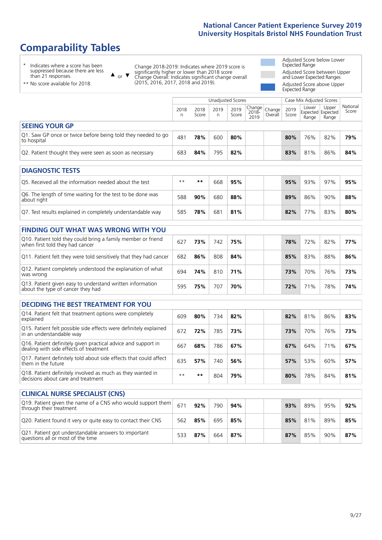## **Comparability Tables**

\* Indicates where a score has been suppressed because there are less than 21 responses.

\*\* No score available for 2018.

or  $\blacktriangledown$  $\blacktriangle$ 

Change 2018-2019: Indicates where 2019 score is significantly higher or lower than 2018 score Change Overall: Indicates significant change overall (2015, 2016, 2017, 2018 and 2019).

Adjusted Score below Lower Expected Range Adjusted Score between Upper and Lower Expected Ranges Adjusted Score above Upper Expected Range

|                                                                                                 |            |               | <b>Unadjusted Scores</b> |               |                            |                   |               | Case Mix Adjusted Scores            |                |                   |
|-------------------------------------------------------------------------------------------------|------------|---------------|--------------------------|---------------|----------------------------|-------------------|---------------|-------------------------------------|----------------|-------------------|
|                                                                                                 | 2018<br>n. | 2018<br>Score | 2019<br>n                | 2019<br>Score | Change<br>$2018 -$<br>2019 | Change<br>Overall | 2019<br>Score | Lower<br>Expected Expected<br>Range | Upper<br>Range | National<br>Score |
| <b>SEEING YOUR GP</b>                                                                           |            |               |                          |               |                            |                   |               |                                     |                |                   |
| Q1. Saw GP once or twice before being told they needed to go<br>to hospital                     | 481        | 78%           | 600                      | 80%           |                            |                   | 80%           | 76%                                 | 82%            | 79%               |
| Q2. Patient thought they were seen as soon as necessary                                         | 683        | 84%           | 795                      | 82%           |                            |                   | 83%           | 81%                                 | 86%            | 84%               |
| <b>DIAGNOSTIC TESTS</b>                                                                         |            |               |                          |               |                            |                   |               |                                     |                |                   |
| O5. Received all the information needed about the test                                          | $***$      | **            | 668                      | 95%           |                            |                   | 95%           | 93%                                 | 97%            | 95%               |
| Q6. The length of time waiting for the test to be done was<br>about right                       | 588        | 90%           | 680                      | 88%           |                            |                   | 89%           | 86%                                 | 90%            | 88%               |
| Q7. Test results explained in completely understandable way                                     | 585        | 78%           | 681                      | 81%           |                            |                   | 82%           | 77%                                 | 83%            | 80%               |
| <b>FINDING OUT WHAT WAS WRONG WITH YOU</b>                                                      |            |               |                          |               |                            |                   |               |                                     |                |                   |
| Q10. Patient told they could bring a family member or friend<br>when first told they had cancer | 627        | 73%           | 742                      | 75%           |                            |                   | 78%           | 72%                                 | 82%            | 77%               |
| Q11. Patient felt they were told sensitively that they had cancer                               | 682        | 86%           | 808                      | 84%           |                            |                   | 85%           | 83%                                 | 88%            | 86%               |
| Q12. Patient completely understood the explanation of what<br>was wrong                         | 694        | 74%           | 810                      | 71%           |                            |                   | 73%           | 70%                                 | 76%            | 73%               |
| Q13. Patient given easy to understand written information                                       | 505        | 750/          | 707                      | 700/          |                            |                   | 770/          | 710/                                | 700/           | 740/              |

| <b>DECIDING THE BEST TREATMENT FOR YOU</b>                                                              |      |       |     |     |     |     |     |     |
|---------------------------------------------------------------------------------------------------------|------|-------|-----|-----|-----|-----|-----|-----|
| Q14. Patient felt that treatment options were completely<br>explained                                   | 609  | 80%   | 734 | 82% | 82% | 81% | 86% | 83% |
| Q15. Patient felt possible side effects were definitely explained<br>in an understandable way           | 672  | 72%   | 785 | 73% | 73% | 70% | 76% | 73% |
| Q16. Patient definitely given practical advice and support in<br>dealing with side effects of treatment | 667  | 68%   | 786 | 67% | 67% | 64% | 71% | 67% |
| Q17. Patient definitely told about side effects that could affect<br>them in the future                 | 635  | 57%   | 740 | 56% | 57% | 53% | 60% | 57% |
| Q18. Patient definitely involved as much as they wanted in<br>decisions about care and treatment        | $**$ | $* *$ | 804 | 79% | 80% | 78% | 84% | 81% |

about the type of cancer they had <sup>595</sup> **75%** <sup>707</sup> **70% 72%** 71% 78% **74%**

| <b>CLINICAL NURSE SPECIALIST (CNS)</b>                                                    |     |     |     |     |     |     |     |     |
|-------------------------------------------------------------------------------------------|-----|-----|-----|-----|-----|-----|-----|-----|
| Q19. Patient given the name of a CNS who would support them<br>through their treatment    | 671 | 92% | 790 | 94% | 93% | 89% | 95% | 92% |
| Q20. Patient found it very or quite easy to contact their CNS                             | 562 | 85% | 695 | 85% | 85% | 81% | 89% | 85% |
| Q21. Patient got understandable answers to important<br>questions all or most of the time | 533 | 87% | 664 | 87% | 87% | 85% | 90% | 87% |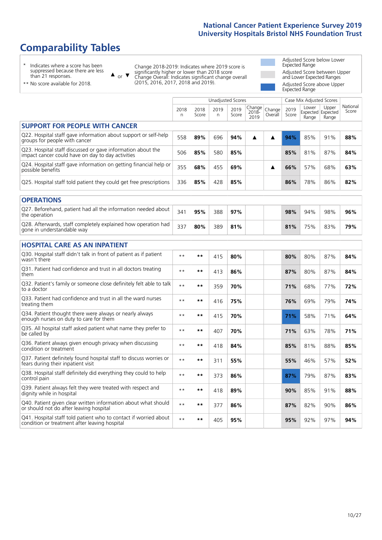## **Comparability Tables**

\* Indicates where a score has been suppressed because there are less than 21 responses.

\*\* No score available for 2018.

 $\triangle$  or  $\nabla$ 

Change 2018-2019: Indicates where 2019 score is significantly higher or lower than 2018 score Change Overall: Indicates significant change overall (2015, 2016, 2017, 2018 and 2019).

Adjusted Score below Lower Expected Range Adjusted Score between Upper and Lower Expected Ranges Adjusted Score above Upper Expected Range

|                                                                                                                   |           |               | <b>Unadjusted Scores</b> |               |                         |                   |               | Case Mix Adjusted Scores            |                |                   |
|-------------------------------------------------------------------------------------------------------------------|-----------|---------------|--------------------------|---------------|-------------------------|-------------------|---------------|-------------------------------------|----------------|-------------------|
|                                                                                                                   | 2018<br>n | 2018<br>Score | 2019<br>n                | 2019<br>Score | Change<br>2018-<br>2019 | Change<br>Overall | 2019<br>Score | Lower<br>Expected Expected<br>Range | Upper<br>Range | National<br>Score |
| <b>SUPPORT FOR PEOPLE WITH CANCER</b>                                                                             |           |               |                          |               |                         |                   |               |                                     |                |                   |
| Q22. Hospital staff gave information about support or self-help<br>groups for people with cancer                  | 558       | 89%           | 696                      | 94%           | ▲                       | ▲                 | 94%           | 85%                                 | 91%            | 88%               |
| Q23. Hospital staff discussed or gave information about the<br>impact cancer could have on day to day activities  | 506       | 85%           | 580                      | 85%           |                         |                   | 85%           | 81%                                 | 87%            | 84%               |
| Q24. Hospital staff gave information on getting financial help or<br>possible benefits                            | 355       | 68%           | 455                      | 69%           |                         | ▲                 | 66%           | 57%                                 | 68%            | 63%               |
| Q25. Hospital staff told patient they could get free prescriptions                                                | 336       | 85%           | 428                      | 85%           |                         |                   | 86%           | 78%                                 | 86%            | 82%               |
| <b>OPERATIONS</b>                                                                                                 |           |               |                          |               |                         |                   |               |                                     |                |                   |
| Q27. Beforehand, patient had all the information needed about<br>the operation                                    | 341       | 95%           | 388                      | 97%           |                         |                   | 98%           | 94%                                 | 98%            | 96%               |
| Q28. Afterwards, staff completely explained how operation had<br>gone in understandable way                       | 337       | 80%           | 389                      | 81%           |                         |                   | 81%           | 75%                                 | 83%            | 79%               |
| <b>HOSPITAL CARE AS AN INPATIENT</b>                                                                              |           |               |                          |               |                         |                   |               |                                     |                |                   |
| Q30. Hospital staff didn't talk in front of patient as if patient<br>wasn't there                                 | $* *$     | $***$         | 415                      | 80%           |                         |                   | 80%           | 80%                                 | 87%            | 84%               |
| Q31. Patient had confidence and trust in all doctors treating<br>them                                             | $* *$     | $***$         | 413                      | 86%           |                         |                   | 87%           | 80%                                 | 87%            | 84%               |
| Q32. Patient's family or someone close definitely felt able to talk<br>to a doctor                                | $* *$     | $***$         | 359                      | 70%           |                         |                   | 71%           | 68%                                 | 77%            | 72%               |
| Q33. Patient had confidence and trust in all the ward nurses<br>treating them                                     | $**$      | $***$         | 416                      | 75%           |                         |                   | 76%           | 69%                                 | 79%            | 74%               |
| Q34. Patient thought there were always or nearly always<br>enough nurses on duty to care for them                 | $* *$     | $***$         | 415                      | 70%           |                         |                   | 71%           | 58%                                 | 71%            | 64%               |
| Q35. All hospital staff asked patient what name they prefer to<br>be called by                                    | $**$      | $***$         | 407                      | 70%           |                         |                   | 71%           | 63%                                 | 78%            | 71%               |
| Q36. Patient always given enough privacy when discussing<br>condition or treatment                                | $* *$     | $***$         | 418                      | 84%           |                         |                   | 85%           | 81%                                 | 88%            | 85%               |
| Q37. Patient definitely found hospital staff to discuss worries or<br>fears during their inpatient visit          | $* *$     | $***$         | 311                      | 55%           |                         |                   | 55%           | 46%                                 | 57%            | 52%               |
| Q38. Hospital staff definitely did everything they could to help<br>control pain                                  | $* *$     | $***$         | 373                      | 86%           |                         |                   | 87%           | 79%                                 | 87%            | 83%               |
| Q39. Patient always felt they were treated with respect and<br>dignity while in hospital                          | $**$      | $***$         | 418                      | 89%           |                         |                   | 90%           | 85%                                 | 91%            | 88%               |
| Q40. Patient given clear written information about what should<br>or should not do after leaving hospital         | $* *$     | $***$         | 377                      | 86%           |                         |                   | 87%           | 82%                                 | 90%            | 86%               |
| Q41. Hospital staff told patient who to contact if worried about<br>condition or treatment after leaving hospital | $* *$     | $***$         | 405                      | 95%           |                         |                   | 95%           | 92%                                 | 97%            | 94%               |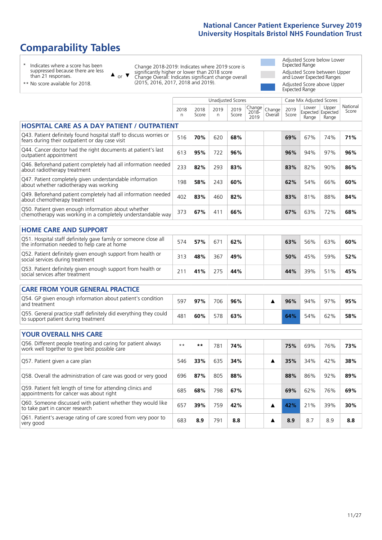## **Comparability Tables**

\* Indicates where a score has been suppressed because there are less than 21 responses.

\*\* No score available for 2018.

or  $\blacktriangledown$  $\blacktriangle$ 

Change 2018-2019: Indicates where 2019 score is significantly higher or lower than 2018 score Change Overall: Indicates significant change overall (2015, 2016, 2017, 2018 and 2019).

Adjusted Score below Lower Expected Range Adjusted Score between Upper and Lower Expected Ranges Adjusted Score above Upper Expected Range

|                                                                                                                       |           |               |            | <b>Unadjusted Scores</b> |                         |                   |               | Case Mix Adjusted Scores |                                     |                   |
|-----------------------------------------------------------------------------------------------------------------------|-----------|---------------|------------|--------------------------|-------------------------|-------------------|---------------|--------------------------|-------------------------------------|-------------------|
|                                                                                                                       | 2018<br>n | 2018<br>Score | 2019<br>n. | 2019<br>Score            | Change<br>2018-<br>2019 | Change<br>Overall | 2019<br>Score | Lower<br>Range           | Upper<br>Expected Expected<br>Range | National<br>Score |
| <b>HOSPITAL CARE AS A DAY PATIENT / OUTPATIENT</b>                                                                    |           |               |            |                          |                         |                   |               |                          |                                     |                   |
| Q43. Patient definitely found hospital staff to discuss worries or<br>fears during their outpatient or day case visit | 516       | 70%           | 620        | 68%                      |                         |                   | 69%           | 67%                      | 74%                                 | 71%               |
| Q44. Cancer doctor had the right documents at patient's last<br>outpatient appointment                                | 613       | 95%           | 722        | 96%                      |                         |                   | 96%           | 94%                      | 97%                                 | 96%               |
| Q46. Beforehand patient completely had all information needed<br>about radiotherapy treatment                         | 233       | 82%           | 293        | 83%                      |                         |                   | 83%           | 82%                      | 90%                                 | 86%               |
| Q47. Patient completely given understandable information<br>about whether radiotherapy was working                    | 198       | 58%           | 243        | 60%                      |                         |                   | 62%           | 54%                      | 66%                                 | 60%               |
| Q49. Beforehand patient completely had all information needed<br>about chemotherapy treatment                         | 402       | 83%           | 460        | 82%                      |                         |                   | 83%           | 81%                      | 88%                                 | 84%               |
| Q50. Patient given enough information about whether<br>chemotherapy was working in a completely understandable way    | 373       | 67%           | 411        | 66%                      |                         |                   | 67%           | 63%                      | 72%                                 | 68%               |
| <b>HOME CARE AND SUPPORT</b>                                                                                          |           |               |            |                          |                         |                   |               |                          |                                     |                   |
| Q51. Hospital staff definitely gave family or someone close all<br>the information needed to help care at home        | 574       | 57%           | 671        | 62%                      |                         |                   | 63%           | 56%                      | 63%                                 | 60%               |
| Q52. Patient definitely given enough support from health or<br>social services during treatment                       | 313       | 48%           | 367        | 49%                      |                         |                   | 50%           | 45%                      | 59%                                 | 52%               |
| Q53. Patient definitely given enough support from health or<br>social services after treatment                        | 211       | 41%           | 275        | 44%                      |                         |                   | 44%           | 39%                      | 51%                                 | 45%               |
| <b>CARE FROM YOUR GENERAL PRACTICE</b>                                                                                |           |               |            |                          |                         |                   |               |                          |                                     |                   |
| Q54. GP given enough information about patient's condition<br>and treatment                                           | 597       | 97%           | 706        | 96%                      |                         | ▲                 | 96%           | 94%                      | 97%                                 | 95%               |
| Q55. General practice staff definitely did everything they could<br>to support patient during treatment               | 481       | 60%           | 578        | 63%                      |                         |                   | 64%           | 54%                      | 62%                                 | 58%               |
| <b>YOUR OVERALL NHS CARE</b>                                                                                          |           |               |            |                          |                         |                   |               |                          |                                     |                   |
| Q56. Different people treating and caring for patient always<br>work well together to give best possible care         | $***$     | **            | 781        | 74%                      |                         |                   | 75%           | 69%                      | 76%                                 | 73%               |
| Q57. Patient given a care plan                                                                                        | 546       | 33%           | 635        | 34%                      |                         | ▲                 | 35%           | 34%                      | 42%                                 | 38%               |
| Q58. Overall the administration of care was good or very good                                                         | 696       | 87%           | 805        | 88%                      |                         |                   | 88%           | 86%                      | 92%                                 | 89%               |
| Q59. Patient felt length of time for attending clinics and<br>appointments for cancer was about right                 | 685       | 68%           | 798        | 67%                      |                         |                   | 69%           | 62%                      | 76%                                 | 69%               |
| Q60. Someone discussed with patient whether they would like<br>to take part in cancer research                        | 657       | 39%           | 759        | 42%                      |                         | ▲                 | 42%           | 21%                      | 39%                                 | 30%               |

Q61. Patient's average rating of care scored from very poor to very good <sup>683</sup> **8.9** <sup>791</sup> **8.8 8.9** 8.7 8.9 **8.8**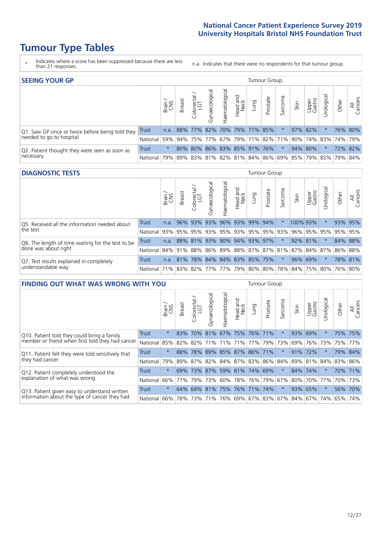## **Tumour Type Tables**

- \* Indicates where a score has been suppressed because there are less than 21 responses.
- n.a. Indicates that there were no respondents for that tumour group.

| <b>SEEING YOUR GP</b>                           |            |               |               |                   |                |               |                             |      | Tumour Group |         |      |                 |                                                     |         |                |
|-------------------------------------------------|------------|---------------|---------------|-------------------|----------------|---------------|-----------------------------|------|--------------|---------|------|-----------------|-----------------------------------------------------|---------|----------------|
|                                                 |            | Brain.<br>CNS | <b>Breast</b> | Colorectal<br>LGT | Gynaecological | Haematologica | Head and<br>Neck            | Lung | Prostate     | Sarcoma | Skin | Upper<br>Gastro | $\overline{\sigma}$<br>Jrologica                    | Other   | All<br>Cancers |
| Q1. Saw GP once or twice before being told they | Trust      | n.a.          |               |                   |                |               | 88% 77% 82% 70% 79% 71% 85% |      |              |         |      | 97% 82%         |                                                     |         | 76% 80%        |
| needed to go to hospital                        | National I | 59%           |               |                   |                |               |                             |      |              |         |      |                 | 94% 75% 77% 67% 79% 71% 82% 71% 90% 74% 83% 74% 79% |         |                |
| Q2. Patient thought they were seen as soon as   | Trust      | $\star$       |               |                   |                |               | 80% 80% 86% 83% 85% 91% 76% |      |              | $\star$ |      | 94% 80%         |                                                     | 72% 82% |                |
| necessary                                       | National I | 79%           |               |                   |                |               |                             |      |              |         |      |                 | 89% 83% 81% 82% 81% 84% 86% 69% 85% 79% 85% 79%     |         | 84%            |

#### **DIAGNOSTIC TESTS** Tumour Group

|                                                   |                                                                  | Brain | <b>Breast</b> | Colorectal<br>LGT | ᠊ᢛ<br>Gynaecologic | Haematological | Head and<br>Neck | Lung                    | Prostate | Sarcoma | Skin   | Upper<br>Gastro | rological                                                            | Other | All<br>Cancers |
|---------------------------------------------------|------------------------------------------------------------------|-------|---------------|-------------------|--------------------|----------------|------------------|-------------------------|----------|---------|--------|-----------------|----------------------------------------------------------------------|-------|----------------|
| Q5. Received all the information needed about     | <b>Trust</b>                                                     | n.a.  |               | $96\%$ 93%        | 93%                |                |                  | 96% 93% 99%             | 94%      |         |        | 100% 93%        |                                                                      |       | 93% 95%        |
| the test                                          | National                                                         | 93%   |               | 95% 95%           |                    |                |                  | 93% 95% 93% 95% 95% 93% |          |         | $96\%$ |                 | 95% 95%                                                              |       | 95% 95%        |
| Q6. The length of time waiting for the test to be | Trust                                                            | n.a.  |               | 88% 81%           |                    |                |                  | 93% 90% 94% 93% 97%     |          |         |        | 92% 81%         | $\star$                                                              |       | 84% 88%        |
| done was about right                              | National                                                         |       |               |                   |                    |                |                  |                         |          |         |        |                 | 84%  91%  88%  86%  89%  88%  87%  87%  81%  87%  84%  87%  86%  88% |       |                |
| Q7. Test results explained in completely          | Trust                                                            | n.a.  | 81%           |                   |                    |                |                  | 78% 84% 84% 83% 85% 75% |          | $\star$ |        | 96% 69%         |                                                                      |       | 78% 81%        |
| understandable way                                | National 71% 83% 82% 77% 77% 79% 80% 80% 78% 84% 75% 80% 76% 80% |       |               |                   |                    |                |                  |                         |          |         |        |                 |                                                                      |       |                |

| <b>FINDING OUT WHAT WAS WRONG WITH YOU</b>                  |          |         |               |                       |                |                             |                  |      | <b>Tumour Group</b>     |          |      |                 |             |       |                |
|-------------------------------------------------------------|----------|---------|---------------|-----------------------|----------------|-----------------------------|------------------|------|-------------------------|----------|------|-----------------|-------------|-------|----------------|
|                                                             |          | Brain   | <b>Breast</b> | olorectal<br>LGT<br>Ū | Gynaecological | Haematological              | Head and<br>Neck | Lung | Prostate                | Sarcoma  | Skin | Upper<br>Gastro | Urological  | Other | All<br>Cancers |
| <b>Trust</b><br>Q10. Patient told they could bring a family |          | $\star$ | 83%           | 70%                   | 81%            | 67% 75% 76% 71%             |                  |      |                         | $\star$  | 93%  | 69%             | $^\star$    |       | 75% 75%        |
| member or friend when first told they had cancer            | National | 85%     | 82%           | 82%                   |                |                             |                  |      | 71% 71% 71% 77% 79%     | 73%      | 69%  | 76%             | 73%         | 75%   | 77%            |
| Q11. Patient felt they were told sensitively that           | Trust    | $\star$ | 88%           | 78%                   | 89%            | 85% 87% 86% 71%             |                  |      |                         | $^\star$ | 91%  | 72%             | $^\star$    |       | 79% 84%        |
| they had cancer                                             | National | 79%     |               | 89% 87%               |                |                             |                  |      | 82% 84% 87% 83% 86% 84% |          |      |                 | 89% 81% 84% |       | 83% 86%        |
| Q12. Patient completely understood the                      | Trust    | $\star$ | 69%           | 73%                   |                | 87% 59% 81% 74% 69%         |                  |      |                         | $\star$  | 84%  | 74%             | $^\star$    |       | 70% 71%        |
| explanation of what was wrong                               | National | 66%     | 77%           | 79%                   | 73%            |                             |                  |      | 60% 78% 76% 79%         | 67%      | 80%  |                 | 70% 77%     |       | 70% 73%        |
| Q13. Patient given easy to understand written               | Trust    | $\star$ |               |                       |                | 64% 64% 81% 75% 76% 71% 74% |                  |      |                         | $\star$  | 93%  | 65%             | $\star$     | 56%   | 70%            |
| information about the type of cancer they had               | National | 66%     | 78%           | 73%                   |                |                             |                  |      | 71% 76% 69% 67% 83% 67% |          | 84%  |                 | 67%   74%   | 65%   | 74%            |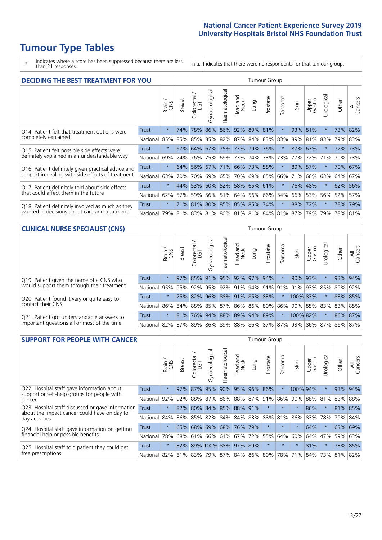## **Tumour Type Tables**

\* Indicates where a score has been suppressed because there are less than 21 responses.

n.a. Indicates that there were no respondents for that tumour group.

| <b>DECIDING THE BEST TREATMENT FOR YOU</b>         |              |         |               |                       |                             |                |                         |                 | <b>Tumour Group</b> |                         |      |                 |            |         |                |
|----------------------------------------------------|--------------|---------|---------------|-----------------------|-----------------------------|----------------|-------------------------|-----------------|---------------------|-------------------------|------|-----------------|------------|---------|----------------|
|                                                    |              | Brain   | <b>Breast</b> | olorectal<br>LGT<br>Ũ | Gynaecological              | Haematological | ead and<br>Neck<br>Head | Lung            | Prostate            | arcoma<br>vĀ            | Skin | Upper<br>Gastro | Jrological | Other   | All<br>Cancers |
| Q14. Patient felt that treatment options were      | <b>Trust</b> | $\star$ | 74%           | 78%                   | 86%                         |                | 86% 92%                 | $ 89\% $        | 81%                 | $\star$                 | 93%  | 81%             | $^\star$   | 73% 82% |                |
| completely explained                               | National     | 85%     | 85%           | 85%                   |                             | 85% 82%        |                         | 87% 84% 83% 83% |                     |                         | 89%  | 81%             | 83%        | 79% 83% |                |
| Q15. Patient felt possible side effects were       | Trust        | $\star$ |               | 67% 64%               |                             |                | 67% 75% 73%             |                 | 79% 76%             |                         | 87%  | 67%             |            | 77% 73% |                |
| definitely explained in an understandable way      | National     | 69%     | 74%           | 76%                   |                             | 75% 69%        | 73%                     |                 | 74% 73%             | 73%                     | 77%  | 72%             | 71%        | 70%     | 73%            |
| Q16. Patient definitely given practical advice and | Trust        | $\star$ | 64%           |                       | 56% 67% 71% 66% 73% 58%     |                |                         |                 |                     | $\ast$                  | 89%  | 57%             | $\star$    | 70% 67% |                |
| support in dealing with side effects of treatment  | National     | 63%     | 70%           | 70%                   |                             | 69% 65%        |                         | 70%   69%   65% |                     | 66%                     | 71%  | 66%             | 63%        | 64% 67% |                |
| Q17. Patient definitely told about side effects    | Trust        | $\star$ |               |                       | 44% 53% 60% 52% 58% 65% 61% |                |                         |                 |                     | $\ast$                  |      | 76% 48%         | $\star$    | 62%     | 56%            |
| that could affect them in the future               | National     | 62%     | 57%           | 59%                   |                             | 56% 51%        | 64%                     |                 | 56% 66%             | 54%                     | 66%  | 53%             | 56%        | 52%     | 57%            |
| Q18. Patient definitely involved as much as they   | Trust        | $\star$ |               |                       | 71% 81% 80% 85% 85% 85% 74% |                |                         |                 |                     | $\star$                 | 88%  | 72%             | $^\star$   | 78% 79% |                |
| wanted in decisions about care and treatment       | National     | 79%     |               | 81% 83%               |                             |                |                         |                 |                     | 81% 80% 81% 81% 84% 81% | 87%  | 79%             | 79%        | 78%     | 81%            |

### **CLINICAL NURSE SPECIALIST (CNS)** Tumour Group

|                                             |              | Brain    | <b>Breast</b> | olorectal<br>LGT<br>U           | $\overline{\sigma}$<br>aecologi<br>Ğ | Haematological | Head and<br>Neck | Lung                            | Prostate | Sarcoma | Skin     | Upper<br>Gastro | rological                           | Other   | All<br>Cancers |
|---------------------------------------------|--------------|----------|---------------|---------------------------------|--------------------------------------|----------------|------------------|---------------------------------|----------|---------|----------|-----------------|-------------------------------------|---------|----------------|
| Q19. Patient given the name of a CNS who    | <b>Trust</b> | $\star$  |               | 97% 85% 91%                     |                                      |                |                  | 95% 92% 97% 94%                 |          |         |          | 90% 93%         |                                     |         | 93% 94%        |
| would support them through their treatment  | National     | 95%      |               | 95% 92%                         |                                      |                |                  | 95% 92% 91% 94% 91% 91% 91% 91% |          |         |          |                 | 93% 85%                             | 89%     | 92%            |
| Q20. Patient found it very or quite easy to | Trust        | $\star$  |               | 75% 82%                         |                                      |                |                  | 96% 88% 91% 85% 83%             |          | $\star$ |          | 100% 83%        |                                     |         | 88% 85%        |
| contact their CNS                           | National     | 86%      |               | 84% 88% 85% 87% 86% 86% 80% 86% |                                      |                |                  |                                 |          |         |          |                 | 90% 85% 83%                         | 83% 85% |                |
| Q21. Patient got understandable answers to  | Trust        | $^\star$ | 81%           | 76%                             | 94%                                  |                |                  | 88% 89% 94% 89%                 |          | $\star$ | 100% 82% |                 | $\star$                             |         | 86% 87%        |
| important questions all or most of the time | National     |          | 82% 87%       | 89%                             | 86%                                  |                |                  |                                 |          |         |          |                 | 89% 88% 86% 87% 87% 93% 86% 87% 86% |         | 87%            |

| <b>SUPPORT FOR PEOPLE WITH CANCER</b>                                                             |              |         |               |                        |                             |                |                        |      | Tumour Group |         |          |                 |           |          |                |
|---------------------------------------------------------------------------------------------------|--------------|---------|---------------|------------------------|-----------------------------|----------------|------------------------|------|--------------|---------|----------|-----------------|-----------|----------|----------------|
|                                                                                                   |              | Brain   | <b>Breast</b> | olorectal.<br>LGT<br>Ũ | Gynaecological              | Haematological | ad and<br>Neck<br>Head | Lung | Prostate     | Sarcoma | Skin     | Upper<br>Gastro | Jrologica | Other    | All<br>Cancers |
| Q22. Hospital staff gave information about<br>support or self-help groups for people with         | <b>Trust</b> | $\star$ | 97%           | 87%                    | 95%                         | 90%            | 95%                    | 96%  | 86%          | $\star$ | 100% 94% |                 | $^\star$  | 93%      | 94%            |
| cancer                                                                                            | National     | 92%     | 92%           | 88%                    | 87%                         | 86%            |                        |      | 88% 87% 91%  | 86%     | 90%      | 88%             | 81%       | 83%      | 88%            |
| Q23. Hospital staff discussed or gave information<br>about the impact cancer could have on day to | Trust        | $\star$ | 82%           | 80%                    |                             | 84% 85% 88%    |                        | 91%  | $\star$      | $\star$ | $\star$  | 86%             | $\star$   |          | 81% 85%        |
| day activities                                                                                    | National     | 84%     |               | 86% 85%                | 82% 84% 84% 83%             |                |                        |      | 88%          | 81%     | 86%      | 83%             | 78%       | 79%      | 84%            |
| Q24. Hospital staff gave information on getting                                                   | Trust        | $\star$ |               | 65% 68%                | 69%                         |                | 68% 76%                | 79%  | $\star$      | $\star$ | $\star$  | 64%             | $^\star$  |          | 63% 69%        |
| financial help or possible benefits                                                               | National     | 78%     |               | 68% 61%                |                             | 66% 61% 67%    |                        | 72%  | 55%          | 64%     | 60%      | 64%             | 47%       | 59%      | 63%            |
| Q25. Hospital staff told patient they could get                                                   | Trust        | $\star$ |               | 82% 89%                | 100% 88% 97%                |                |                        | 89%  | $\star$      | $\star$ | $\ast$   | 81%             | $^\star$  |          | 78% 85%        |
| free prescriptions                                                                                | National     | 82%     |               |                        | 81% 83% 79% 87% 84% 86% 80% |                |                        |      |              |         | 78% 71%  | 84%             | 73%       | $ 81\% $ | 82%            |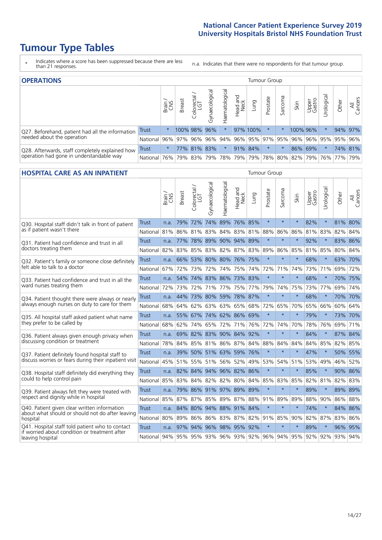## **Tumour Type Tables**

- \* Indicates where a score has been suppressed because there are less than 21 responses.
- n.a. Indicates that there were no respondents for that tumour group.

| <b>OPERATIONS</b>                                |              |            |               |                   |                    |                |                  |          | <b>Tumour Group</b> |         |                             |                 |                       |         |                |
|--------------------------------------------------|--------------|------------|---------------|-------------------|--------------------|----------------|------------------|----------|---------------------|---------|-----------------------------|-----------------|-----------------------|---------|----------------|
|                                                  |              | Brain      | <b>Breast</b> | Colorectal<br>LGT | ᠊ᢛ<br>Gynaecologic | Haematological | Head and<br>Neck | Fung     | Prostate            | Sarcoma | Skin                        | Upper<br>Gastro | $\sigma$<br>Irologica | Other   | All<br>Cancers |
| Q27. Beforehand, patient had all the information | Trust        | $\star$    |               | 100% 98%          | 96%                |                |                  | 97% 100% | $\star$             | $\ast$  | 100% 96%                    |                 |                       | 94% 97% |                |
| needed about the operation                       | National     | 96%        |               | 97% 96%           |                    | 96% 94%        |                  |          |                     |         | 96% 95% 97% 95% 96%         |                 | 96% 95% 95% 96%       |         |                |
| Q28. Afterwards, staff completely explained how  | <b>Trust</b> | $\star$    |               | 77% 81% 83%       |                    | $\star$        |                  | 91% 84%  | $\star$             | $\ast$  | 86%                         | 69%             |                       |         | 74% 81%        |
| operation had gone in understandable way         | National I   | <b>76%</b> |               | 79% 83%           |                    |                |                  |          |                     |         | 79% 78% 79% 79% 78% 80% 82% |                 | 79%   76%   77%   79% |         |                |

#### **HOSPITAL CARE AS AN INPATIENT** Tumour Group

|                                                                                                  |                                                          | Brain | <b>Breast</b>                | $\frac{\text{Colored}}{\text{LGT}}$ | Gynaecological | Haematological          | Head and<br>Neck | Lung        | Prostate | Sarcoma | Skin    | Upper<br>Gastro | Urological | Other   | Cancers<br>$\overline{\overline{z}}$ |
|--------------------------------------------------------------------------------------------------|----------------------------------------------------------|-------|------------------------------|-------------------------------------|----------------|-------------------------|------------------|-------------|----------|---------|---------|-----------------|------------|---------|--------------------------------------|
| Q30. Hospital staff didn't talk in front of patient                                              | Trust                                                    | n.a.  | 79%                          | 72%                                 | 74%            | 89%                     | 76% 85%          |             | $\star$  | $\star$ | $\star$ | 82%             | $\star$    | 81% 80% |                                      |
| as if patient wasn't there                                                                       | National                                                 | 81%   | 86%                          | 81%                                 | 83%            |                         |                  | 84% 83% 81% | 88%      | 86%     | 86%     | 81%             | 83%        | 82% 84% |                                      |
| 031. Patient had confidence and trust in all                                                     | <b>Trust</b>                                             | n.a.  | 77%                          | 78%                                 |                | 89% 90% 94% 89%         |                  |             | $\star$  | $\star$ | $\star$ | 92%             | $\star$    | 83% 86% |                                      |
| doctors treating them                                                                            | National                                                 | 82%   | 83%                          | 85%                                 |                | 83% 82%                 |                  | 87% 83%     | 89%      | 86%     | 85%     |                 | 81% 85%    | 80% 84% |                                      |
| Q32. Patient's family or someone close definitely                                                | <b>Trust</b>                                             | n.a.  |                              |                                     |                | 66% 53% 80% 80% 76% 75% |                  |             | $\star$  | $\star$ | $\star$ | 68%             | $\star$    | 63% 70% |                                      |
| felt able to talk to a doctor                                                                    | National                                                 | 67%   | 72%                          | 73%                                 | 72%            | 74%                     |                  | 75% 74%     | 72%      | 71%     | 74%     | 73%             | 71%        | 69% 72% |                                      |
| Q33. Patient had confidence and trust in all the                                                 | <b>Trust</b>                                             | n.a.  | 54%                          |                                     |                | 74% 83% 86% 73% 83%     |                  |             | $\star$  | $\star$ | $\ast$  | 68%             | $\star$    | 70% 75% |                                      |
| ward nurses treating them                                                                        | National                                                 | 72%   |                              | 73% 72%                             |                | 71% 77%                 |                  | 75% 77%     | 79%      | 74%     | 75%     |                 | 73% 77%    | 69% 74% |                                      |
| Q34. Patient thought there were always or nearly                                                 | <b>Trust</b>                                             | n.a.  | 44%                          |                                     | 73% 80%        | 59% 78% 87%             |                  |             | $\star$  | $\star$ | $\star$ | 68%             | $\star$    | 70% 70% |                                      |
| always enough nurses on duty to care for them                                                    | National                                                 | 68%   |                              | 64% 62%                             |                | 63% 63% 65% 68%         |                  |             | 72%      | 65%     | 70%     |                 | 65% 66%    | 60% 64% |                                      |
| Q35. All hospital staff asked patient what name                                                  | Trust                                                    | n.a.  |                              |                                     |                | 55% 67% 74% 62% 86% 69% |                  |             | $\star$  | $\star$ | $\ast$  | 79%             | $\star$    | 73% 70% |                                      |
| they prefer to be called by                                                                      | National                                                 | 68%   | 62%                          | 74%                                 | 65%            | 72%                     |                  | 71% 76%     | 72%      | 74%     | 70%     | 78%             | 76%        | 69% 71% |                                      |
| Q36. Patient always given enough privacy when                                                    | <b>Trust</b>                                             | n.a.  | 69%                          | 82%                                 | 83%            | 90% 84% 92%             |                  |             | $\star$  | $\star$ | $\star$ | 84%             | $\star$    | 87% 84% |                                      |
| discussing condition or treatment                                                                | National                                                 | 78%   |                              |                                     |                | 84% 85% 81% 86% 87% 84% |                  |             | 88%      | 84%     | 84%     |                 | 84% 85%    | 82% 85% |                                      |
| Q37. Patient definitely found hospital staff to                                                  | <b>Trust</b>                                             | n.a.  | 39%                          | 50%                                 |                | 51% 63% 59% 76%         |                  |             | $\star$  | $\star$ | $\star$ | 47%             | $\star$    | 50% 55% |                                      |
| discuss worries or fears during their inpatient visit                                            | National                                                 | 45%   |                              |                                     |                | 51% 55% 51% 56%         |                  | 52% 49%     | 53%      | 54%     | 51%     |                 | 53% 49%    | 46% 52% |                                      |
| Q38. Hospital staff definitely did everything they                                               | <b>Trust</b>                                             |       | n.a. 82% 84% 94% 96% 82% 86% |                                     |                |                         |                  |             | $\star$  | $\star$ | $\star$ | 85%             | $\star$    | 90% 86% |                                      |
| could to help control pain                                                                       | National                                                 | 85%   | 83%                          |                                     |                | 84% 82% 82% 80% 84%     |                  |             | 85%      | 83%     | 85%     | 82%             | 81%        | 82% 83% |                                      |
| Q39. Patient always felt they were treated with                                                  | <b>Trust</b>                                             | n.a.  | 79%                          |                                     |                | 86% 91% 97% 89% 89%     |                  |             | $\star$  | $\star$ | $\star$ | 89%             | $\star$    | 89% 89% |                                      |
| respect and dignity while in hospital                                                            | National                                                 | 85%   | 87%                          | 87%                                 | 85%            | 89%                     | 87%              | 88%         | 91%      | 89%     | 89%     | 88%             | 90%        | 86%     | 88%                                  |
| Q40. Patient given clear written information<br>about what should or should not do after leaving | <b>Trust</b>                                             | n.a.  | 84%                          | 80%                                 |                | 94% 88% 91% 84%         |                  |             | $\star$  | $\star$ | $\star$ | 74%             | $\star$    | 84% 86% |                                      |
| hospital                                                                                         | National                                                 | 80%   | 89%                          | 86%                                 | 86%            |                         |                  | 83% 87% 82% |          | 91% 85% | 90%     | 82%             | 87%        | 83% 86% |                                      |
| Q41. Hospital staff told patient who to contact<br>if worried about condition or treatment after | <b>Trust</b>                                             | n.a.  | 97%                          | 94%                                 |                | 96% 98% 95% 92%         |                  |             | $\star$  | $\star$ | $\star$ | 89%             | $\star$    | 96% 95% |                                      |
| leaving hospital                                                                                 | National 94% 95% 95% 93% 96% 93% 92% 96% 94% 95% 92% 92% |       |                              |                                     |                |                         |                  |             |          |         |         |                 |            | 93% 94% |                                      |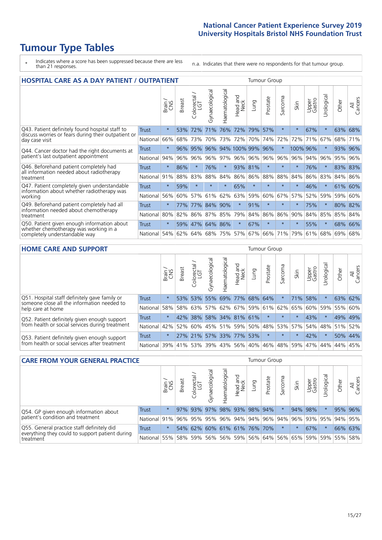## **Tumour Type Tables**

- \* Indicates where a score has been suppressed because there are less than 21 responses.
- n.a. Indicates that there were no respondents for that tumour group.

| <b>HOSPITAL CARE AS A DAY PATIENT / OUTPATIENT</b>                                   |              |         |               |                              |                |                       |                            |         | <b>Tumour Group</b> |         |          |                 |            |         |                |
|--------------------------------------------------------------------------------------|--------------|---------|---------------|------------------------------|----------------|-----------------------|----------------------------|---------|---------------------|---------|----------|-----------------|------------|---------|----------------|
|                                                                                      |              | Brain   | <b>Breast</b> | ー<br>olorectal /<br>LGT<br>Ũ | Gynaecological | <b>Haematological</b> | and<br><b>Neck</b><br>Head | Lung    | Prostate            | Sarcoma | Skin     | Upper<br>Gastro | Urological | Other   | All<br>Cancers |
| Q43. Patient definitely found hospital staff to                                      | <b>Trust</b> | $\star$ | 53%           | 72%                          | 71%            | 76%                   | 72%                        | 79%     | 57%                 | $\star$ | $\star$  | 67%             | $\star$    | 63%     | 68%            |
| discuss worries or fears during their outpatient or<br>day case visit                | National     | 66%     | 68%           | 73%                          | 70%            | 73%                   | 72%                        | 70%     | 74%                 | 72%     | 72%      | 71%             | 67%        | 68%     | 71%            |
| Q44. Cancer doctor had the right documents at                                        | Trust        | $\star$ | 96%           | 95%                          |                | 96% 94% 100% 99%      |                            |         | 96%                 | $\star$ | 100% 96% |                 |            | 93%     | 96%            |
| patient's last outpatient appointment                                                | National     | 94%     | 96%           | 96%                          |                | 96% 97%               |                            | 96% 96% | 96%                 | 96%     | 96%      | 94%             | 96%        | 95%     | 96%            |
| Q46. Beforehand patient completely had                                               | <b>Trust</b> | $\star$ | 86%           |                              | 76%            | $\star$               |                            | 93% 81% | $\star$             | $\star$ | $\star$  | 76%             | $\star$    | 83% 83% |                |
| all information needed about radiotherapy<br>treatment                               | National     | 91%     | 88%           | 83%                          | 88%            | 84%                   |                            | 86% 86% | 88%                 | 88%     | 84%      | 86%             | 83%        | 84% 86% |                |
| Q47. Patient completely given understandable                                         | Trust        | $\star$ | 59%           |                              |                | $\star$               | 65%                        | $\star$ | $\star$             | $\star$ | $\star$  | 46%             | $^\star$   | 61%     | 60%            |
| information about whether radiotherapy was<br>working                                | National     | 56%     | 60%           | 57%                          | 61%            | 62%                   | 63%                        | 59%     | 60%                 | 67%     | 57%      | 52%             | 59%        | 59%     | 60%            |
| Q49. Beforehand patient completely had all                                           | <b>Trust</b> | $\star$ | 77%           | 77%                          | 84%            | 90%                   | $\star$                    | 91%     | $\star$             | $\star$ |          | 75%             | $^\star$   | 80% 82% |                |
| information needed about chemotherapy<br>treatment                                   | National     | 80%     | 82%           | 86%                          | 87%            | 85%                   | 79%                        | 84%     | 86%                 | 86%     | 90%      | 84%             | 85%        | 85% 84% |                |
| Q50. Patient given enough information about<br>whether chemotherapy was working in a | Trust        | $\star$ | 59%           | 47%                          | 64%            | 86%                   | $\star$                    | 67%     | $\star$             | $\star$ | $\ast$   | 55%             | $^\star$   | 68%     | 66%            |
| completely understandable way                                                        | National     | 54%     | 62%           | 64%                          | 68%            | 75%                   |                            | 57% 67% | 66%                 | 71%     | 79%      | 61%             | 68%        | 69%     | 68%            |

#### **HOME CARE AND SUPPORT** Tumour Group

|                                                                                              |              | Brain   | <b>Breast</b> | Colorectal<br>LGT | $\overline{\sigma}$<br>Gynaecologic | Haematological | Head and<br>Neck | <b>Lung</b>     | Prostate | Sarcoma | Skin                                | Upper<br>Gastro | Urological  | Other   | All<br>Cancers |
|----------------------------------------------------------------------------------------------|--------------|---------|---------------|-------------------|-------------------------------------|----------------|------------------|-----------------|----------|---------|-------------------------------------|-----------------|-------------|---------|----------------|
| Q51. Hospital staff definitely gave family or<br>someone close all the information needed to | <b>Trust</b> | $\star$ |               | 53% 53%           | 55%                                 |                |                  | 69% 77% 68% 64% |          |         | 71%                                 | 58%             | $^\star$    | 63%     | 62%            |
| help care at home                                                                            | National     | 58%     |               | 58% 63%           |                                     |                |                  |                 |          |         | 57% 62% 67% 59% 61% 62% 65%         | 60% 59%         |             | 55%     | 60%            |
| Q52. Patient definitely given enough support                                                 | Trust        | $\star$ |               | 42% 38%           |                                     |                |                  | 58% 34% 81% 61% | $\star$  | $\star$ |                                     | 43%             | $\star$     | 49% 49% |                |
| from health or social services during treatment                                              | National     | 42%     |               |                   |                                     |                |                  |                 |          |         | 52% 60% 45% 51% 59% 50% 48% 53% 57% |                 | 54% 48% 51% |         | 52%            |
| Q53. Patient definitely given enough support                                                 | Trust        | $\star$ |               | 27% 21%           |                                     | 57% 33% 77%    |                  | 53%             | $\star$  | $\star$ | $\star$                             | 42%             | $\star$     | 50% 44% |                |
| from health or social services after treatment                                               | National     | 39%     | 41% 53%       |                   |                                     |                |                  | 39% 43% 56% 40% | 46%      |         | 48% 59%                             | 47%             | 44%         | 44%     | 45%            |

| <b>CARE FROM YOUR GENERAL PRACTICE</b>                                                                     |              |         |               |                        |               |                     | Tumour Group     |      |                             |         |      |                 |                                                                 |         |                |
|------------------------------------------------------------------------------------------------------------|--------------|---------|---------------|------------------------|---------------|---------------------|------------------|------|-----------------------------|---------|------|-----------------|-----------------------------------------------------------------|---------|----------------|
|                                                                                                            |              | Brain,  | <b>Breast</b> | ー<br>Colorectal<br>LGT | Gynaecologica | ক<br>Haematologic   | Head and<br>Neck | Lung | Prostate                    | Sarcoma | Skin | Upper<br>Gastro | Φ<br>Urologica                                                  | Other   | All<br>Cancers |
| Q54. GP given enough information about<br>patient's condition and treatment                                | Trust        | $\star$ |               | 97% 93%                |               | 97% 98% 93% 98% 94% |                  |      |                             |         | 94%  | 98%             | $\star$                                                         | 95% 96% |                |
|                                                                                                            | National 91% |         |               | 96% 95%                |               |                     |                  |      | 95% 96% 94% 94% 96% 94% 96% |         |      |                 | 93% 95% 94% 95%                                                 |         |                |
| Q55. General practice staff definitely did<br>everything they could to support patient during<br>treatment | Trust        | $\star$ |               | 54% 62%                |               | 60% 61% 61% 76% 70% |                  |      |                             | $\star$ |      | 67%             |                                                                 | 66% 63% |                |
|                                                                                                            | National 55% |         |               | 58% 59%                |               |                     |                  |      |                             |         |      |                 | 56%   56%   59%   56%   64%   56%   65%   59%   59%   55%   58% |         |                |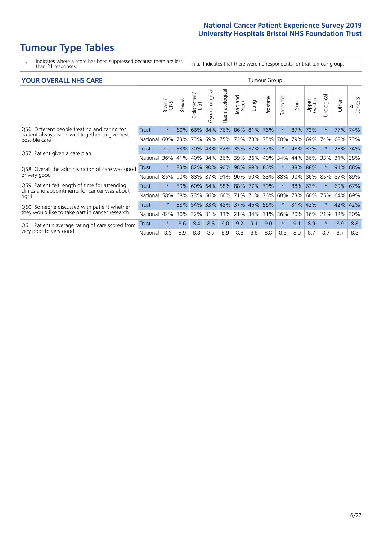## **Tumour Type Tables**

- \* Indicates where a score has been suppressed because there are less than 21 responses.
- n.a. Indicates that there were no respondents for that tumour group.

#### **YOUR OVERALL NHS CARE** THE TWO CONTROLLER THE THE THROUP CHANGE THE TUMOUR GROUP

|                                                                  | Brain   | <b>Breast</b> | olorectal.<br>LGT<br>Ü | Gynaecological | Haematological | Head and<br>Neck | Lung                                                                                 | Prostate | Sarcoma                                                    | Skin | Upper<br>Gastro | Urologica | Other   | All<br>Cancers |
|------------------------------------------------------------------|---------|---------------|------------------------|----------------|----------------|------------------|--------------------------------------------------------------------------------------|----------|------------------------------------------------------------|------|-----------------|-----------|---------|----------------|
| <b>Trust</b>                                                     | $\star$ | 60%           | 66%                    | 84%            | 76%            | 86%              |                                                                                      | 76%      | $\star$                                                    | 87%  | 72%             |           | 77%     | 74%            |
| National                                                         | 60%     | 73%           | 73%                    | 69%            |                |                  | 73%                                                                                  | 75%      | 70%                                                        | 79%  | 69%             | 74%       | 68%     | 73%            |
| <b>Trust</b>                                                     | n.a.    | 33%           | $30\%$                 | 43%            |                |                  |                                                                                      |          | $\ast$                                                     | 48%  |                 |           | 23% 34% |                |
| National                                                         | 36%     | 41%           | 40%                    | 34%            | 36%            | 39%              | 36%                                                                                  | 40%      | 34%                                                        | 44%  | 36%             | 33%       | 31%     | 38%            |
| <b>Trust</b><br>Q58. Overall the administration of care was good | $\star$ | 83%           | 82%                    | 90%            | 90%            |                  |                                                                                      |          | $\star$                                                    | 88%  | 88%             |           | 91%     | 88%            |
| National                                                         | 85%     |               | 88%                    | 87%            |                |                  |                                                                                      |          | 88%                                                        | 90%  |                 |           | 87%     | 89%            |
| <b>Trust</b>                                                     | $\star$ | 59%           | 60%                    |                |                |                  |                                                                                      |          | $\star$                                                    | 88%  | 63%             | $\star$   | 69% 67% |                |
| National                                                         | 58%     | 68%           | 73%                    | 66%            |                |                  | 71%                                                                                  | 76%      | 68%                                                        | 73%  | 66%             | 75%       | 64%     | 69%            |
| <b>Trust</b>                                                     | $\star$ | 38%           | 54%                    | 33%            |                |                  |                                                                                      | 56%      | $\ast$                                                     | 31%  | 42%             |           | 42%     | 42%            |
| National                                                         | 42%     | 30%           | 32%                    | 31%            |                |                  |                                                                                      |          | 36%                                                        | 20%  | 36%             | 21%       | 32%     | 30%            |
| <b>Trust</b>                                                     | $\star$ | 8.6           | 8.4                    | 8.8            | 9.0            | 9.2              | 9.1                                                                                  | 9.0      | $\star$                                                    | 9.1  | 8.9             | $\star$   | 8.9     | 8.8            |
| National                                                         | 8.6     | 8.9           | 8.8                    | 8.7            | 8.9            | 8.8              | 8.8                                                                                  | 8.8      | 8.8                                                        | 8.9  | 8.7             | 8.7       | 8.7     | 8.8            |
|                                                                  |         |               |                        | 90%            |                |                  | 75% 73%<br>32% 35%<br>98%<br>91% 90%<br>64% 58% 88%<br>66% 71%<br>48% 37%<br>33% 21% | 81%      | 37% 37%<br>89% 86%<br>90% 88%<br>77% 79%<br>46%<br>34% 31% |      |                 | 37%       | 86% 85% |                |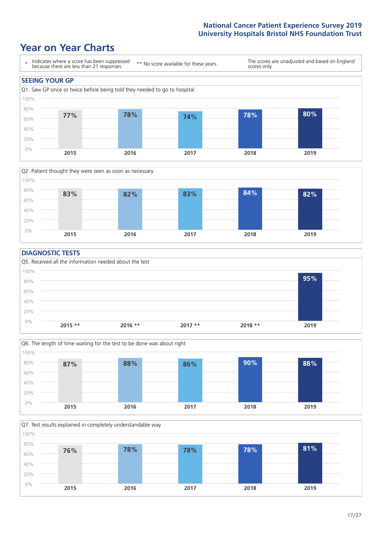## **Year on Year Charts**





#### **DIAGNOSTIC TESTS**





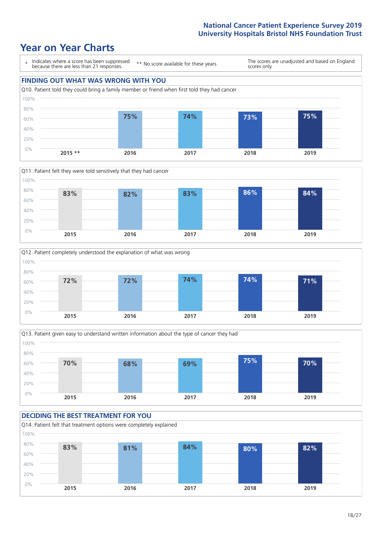## **Year on Year Charts**









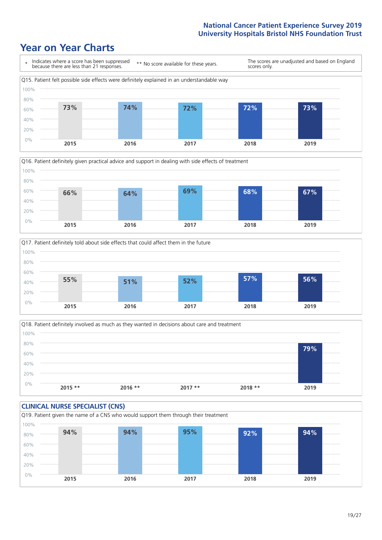## **Year on Year Charts**







Q18. Patient definitely involved as much as they wanted in decisions about care and treatment  $0%$ 20% 40% 60% 80% 100% **2015 \*\* 2016 \*\* 2017 \*\* 2018 \*\* 2019 79%**

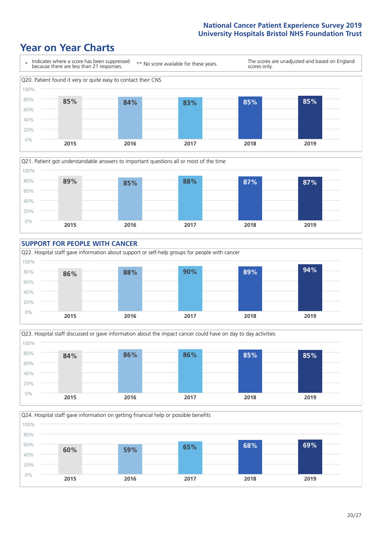## **Year on Year Charts**

0%









**2015 2016 2017 2018 2019**

Q24. Hospital staff gave information on getting financial help or possible benefits 20% 40% 60% 80% 100% **60% 59% 65% 68% 69%**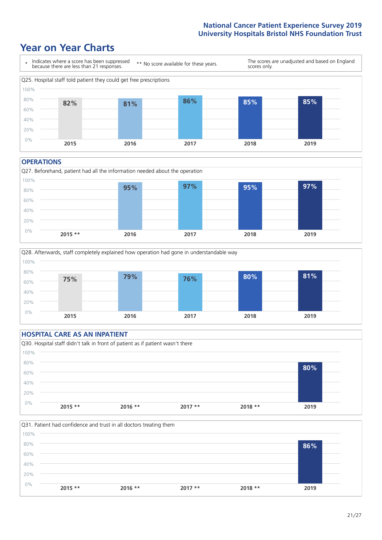### **Year on Year Charts**



#### **OPERATIONS**





### **HOSPITAL CARE AS AN INPATIENT** Q30. Hospital staff didn't talk in front of patient as if patient wasn't there 0% 20% 40% 60% 80% 100% **2015 \*\* 2016 \*\* 2017 \*\* 2018 \*\* 2019 80%**

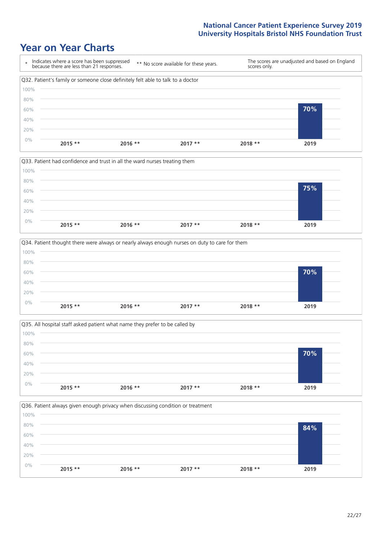## **Year on Year Charts**









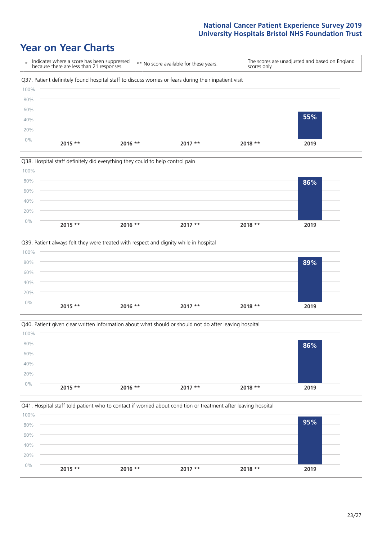## **Year on Year Charts**









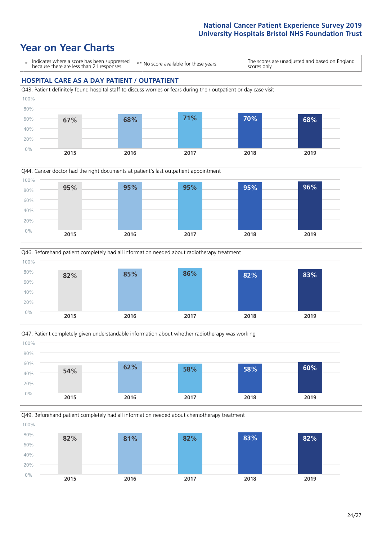## **Year on Year Charts**

\* Indicates where a score has been suppressed because there are less than 21 responses. \*\* No score available for these years. The scores are unadjusted and based on England scores only. **HOSPITAL CARE AS A DAY PATIENT / OUTPATIENT** Q43. Patient definitely found hospital staff to discuss worries or fears during their outpatient or day case visit 0% 20% 40% 60% 80% 100% **2015 2016 2017 2018 2019 67% 68% 71% 70% 68%**







Q49. Beforehand patient completely had all information needed about chemotherapy treatment 0% 20% 40% 60% 80% 100% **2015 2016 2017 2018 2019 82% 81% 82% 83% 82%**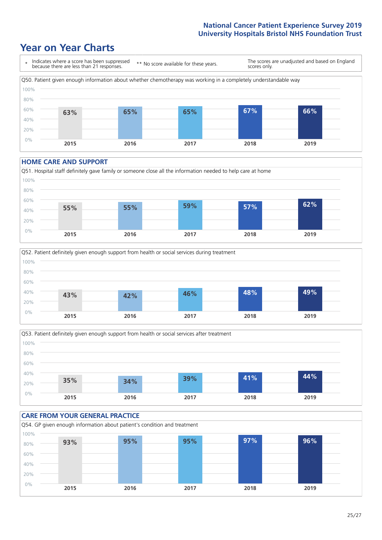## **Year on Year Charts**



#### **HOME CARE AND SUPPORT**







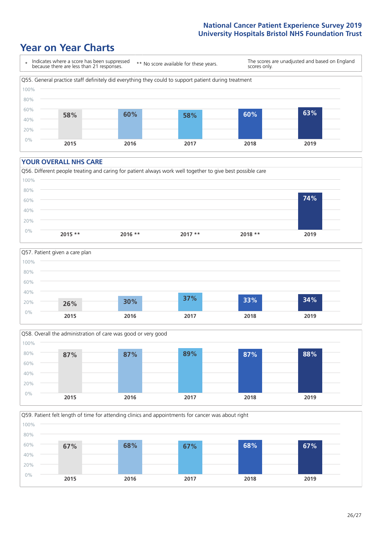## **Year on Year Charts**



#### **YOUR OVERALL NHS CARE**







Q59. Patient felt length of time for attending clinics and appointments for cancer was about right